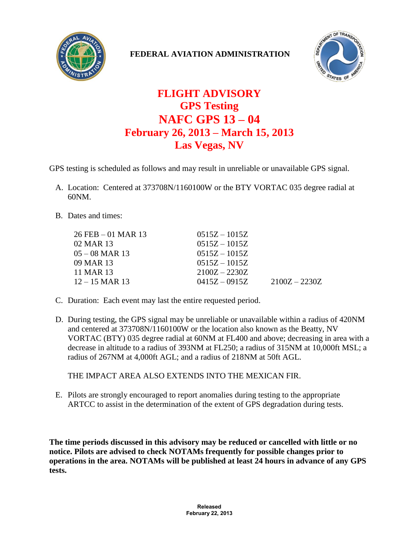

## **FEDERAL AVIATION ADMINISTRATION**



## **FLIGHT ADVISORY GPS Testing NAFC GPS 13 – 04 February 26, 2013 – March 15, 2013 Las Vegas, NV**

GPS testing is scheduled as follows and may result in unreliable or unavailable GPS signal.

- A. Location: Centered at 373708N/1160100W or the BTY VORTAC 035 degree radial at 60NM.
- B. Dates and times:

| $0515Z - 1015Z$ |                 |
|-----------------|-----------------|
| $0515Z - 1015Z$ |                 |
| $0515Z - 1015Z$ |                 |
| $0515Z - 1015Z$ |                 |
| $2100Z - 2230Z$ |                 |
| $0415Z - 0915Z$ | $2100Z - 2230Z$ |
|                 |                 |

- C. Duration: Each event may last the entire requested period.
- D. During testing, the GPS signal may be unreliable or unavailable within a radius of 420NM and centered at 373708N/1160100W or the location also known as the Beatty, NV VORTAC (BTY) 035 degree radial at 60NM at FL400 and above; decreasing in area with a decrease in altitude to a radius of 393NM at FL250; a radius of 315NM at 10,000ft MSL; a radius of 267NM at 4,000ft AGL; and a radius of 218NM at 50ft AGL.

THE IMPACT AREA ALSO EXTENDS INTO THE MEXICAN FIR.

E. Pilots are strongly encouraged to report anomalies during testing to the appropriate ARTCC to assist in the determination of the extent of GPS degradation during tests.

**The time periods discussed in this advisory may be reduced or cancelled with little or no notice. Pilots are advised to check NOTAMs frequently for possible changes prior to operations in the area. NOTAMs will be published at least 24 hours in advance of any GPS tests.**